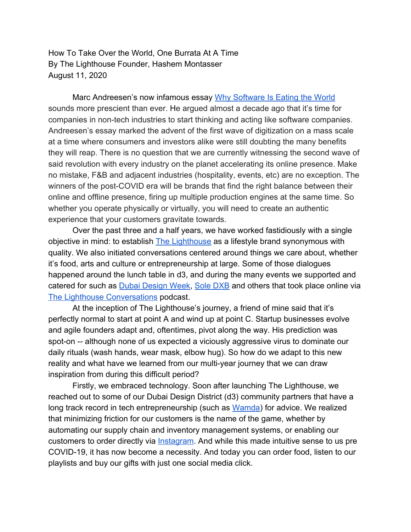How To Take Over the World, One Burrata At A Time By The Lighthouse Founder, Hashem Montasser August 11, 2020

Marc Andreesen's now infamous essay [Why Software Is Eating the World](https://a16z.com/2011/08/20/why-software-is-eating-the-world/) sounds more prescient than ever. He argued almost a decade ago that it's time for companies in non-tech industries to start thinking and acting like software companies. Andreesen's essay marked the advent of the first wave of digitization on a mass scale at a time where consumers and investors alike were still doubting the many benefits they will reap. There is no question that we are currently witnessing the second wave of said revolution with every industry on the planet accelerating its online presence. Make no mistake, F&B and adjacent industries (hospitality, events, etc) are no exception. The winners of the post-COVID era will be brands that find the right balance between their online and offline presence, firing up multiple production engines at the same time. So whether you operate physically or virtually, you will need to create an authentic experience that your customers gravitate towards.

Over the past three and a half years, we have worked fastidiously with a single objective in mind: to establish [The Lighthouse](http://www.thelighthouse.ae/) as a lifestyle brand synonymous with quality. We also initiated conversations centered around things we care about, whether it's food, arts and culture or entrepreneurship at large. Some of those dialogues happened around the lunch table in d3, and during the many events we supported and catered for such as **[Dubai Design Week,](https://www.dubaidesignweek.ae/programme/2019/) [Sole DXB](https://www.sole.digital/)** and others that took place online via [The Lighthouse Conversations](http://www.thelighthouse.ae/podcast) podcast.

At the inception of The Lighthouse's journey, a friend of mine said that it's perfectly normal to start at point A and wind up at point C. Startup businesses evolve and agile founders adapt and, oftentimes, pivot along the way. His prediction was spot-on -- although none of us expected a viciously aggressive virus to dominate our daily rituals (wash hands, wear mask, elbow hug). So how do we adapt to this new reality and what have we learned from our multi-year journey that we can draw inspiration from during this difficult period?

Firstly, we embraced technology. Soon after launching The Lighthouse, we reached out to some of our Dubai Design District (d3) community partners that have a long track record in tech entrepreneurship (such as [Wamda\)](https://www.wamda.com/) for advice. We realized that minimizing friction for our customers is the name of the game, whether by automating our supply chain and inventory management systems, or enabling our customers to order directly via [Instagram.](https://linktr.ee/thelighthouse_ae) And while this made intuitive sense to us pre COVID-19, it has now become a necessity. And today you can order food, listen to our playlists and buy our gifts with just one social media click.